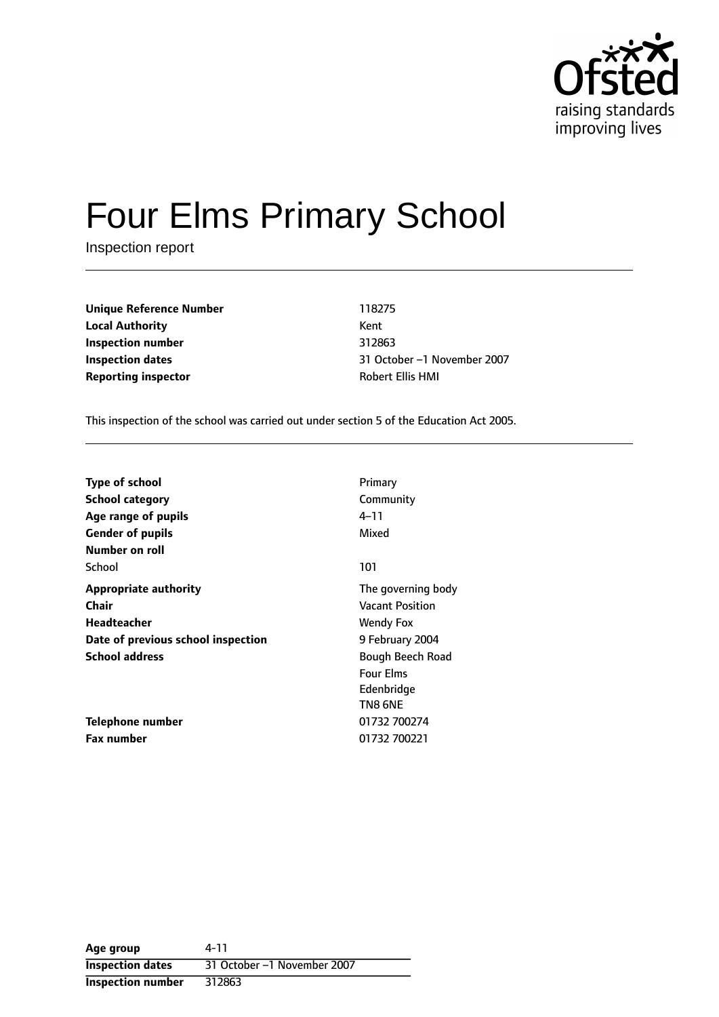

# Four Elms Primary School

Inspection report

**Unique Reference Number** 118275 **Local Authority** Kent **Inspection number** 312863 **Reporting inspector CONFIDENTIAL ROBERT ROBERT ELLIS HMI** 

**Inspection dates** 31 October -1 November 2007

This inspection of the school was carried out under section 5 of the Education Act 2005.

| <b>Type of school</b>              | Primary                |
|------------------------------------|------------------------|
| <b>School category</b>             | Community              |
| Age range of pupils                | 4–11                   |
| <b>Gender of pupils</b>            | Mixed                  |
| Number on roll                     |                        |
| School                             | 101                    |
| <b>Appropriate authority</b>       | The governing body     |
| Chair                              | <b>Vacant Position</b> |
| Headteacher                        | Wendy Fox              |
| Date of previous school inspection | 9 February 2004        |
| <b>School address</b>              | Bough Beech Road       |
|                                    | <b>Four Elms</b>       |
|                                    | Edenbridge             |
|                                    | TN8 6NE                |
| Telephone number                   | 01732 700274           |
| <b>Fax number</b>                  | 01732 700221           |

**Age group** 4-11 **Inspection dates** 31 October -1 November 2007 **Inspection number** 312863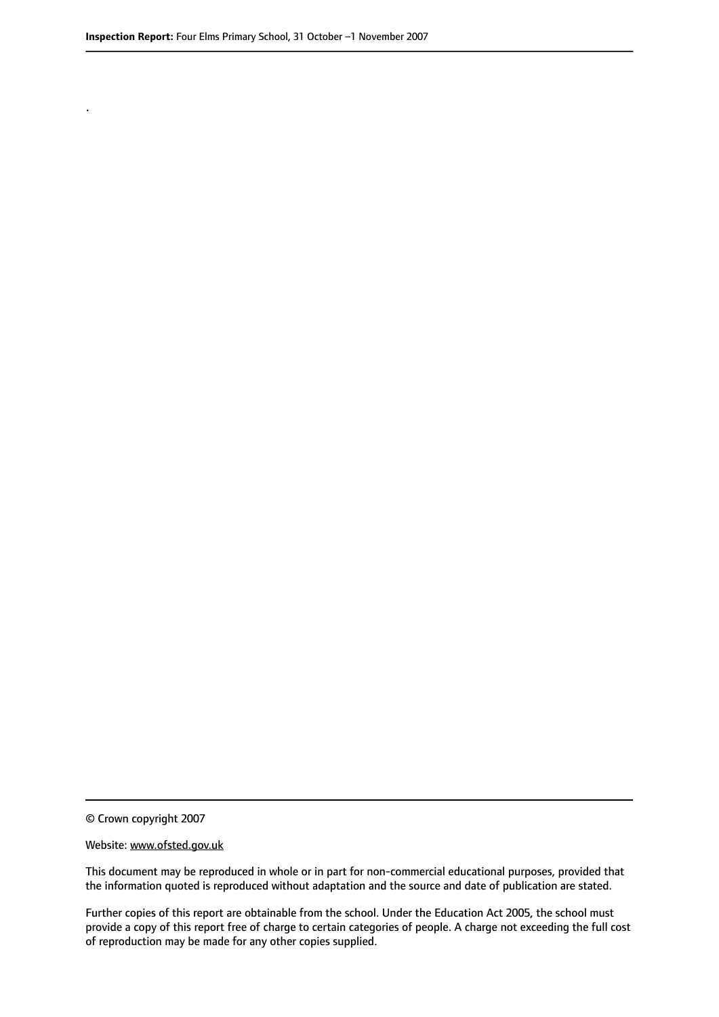.

© Crown copyright 2007

#### Website: www.ofsted.gov.uk

This document may be reproduced in whole or in part for non-commercial educational purposes, provided that the information quoted is reproduced without adaptation and the source and date of publication are stated.

Further copies of this report are obtainable from the school. Under the Education Act 2005, the school must provide a copy of this report free of charge to certain categories of people. A charge not exceeding the full cost of reproduction may be made for any other copies supplied.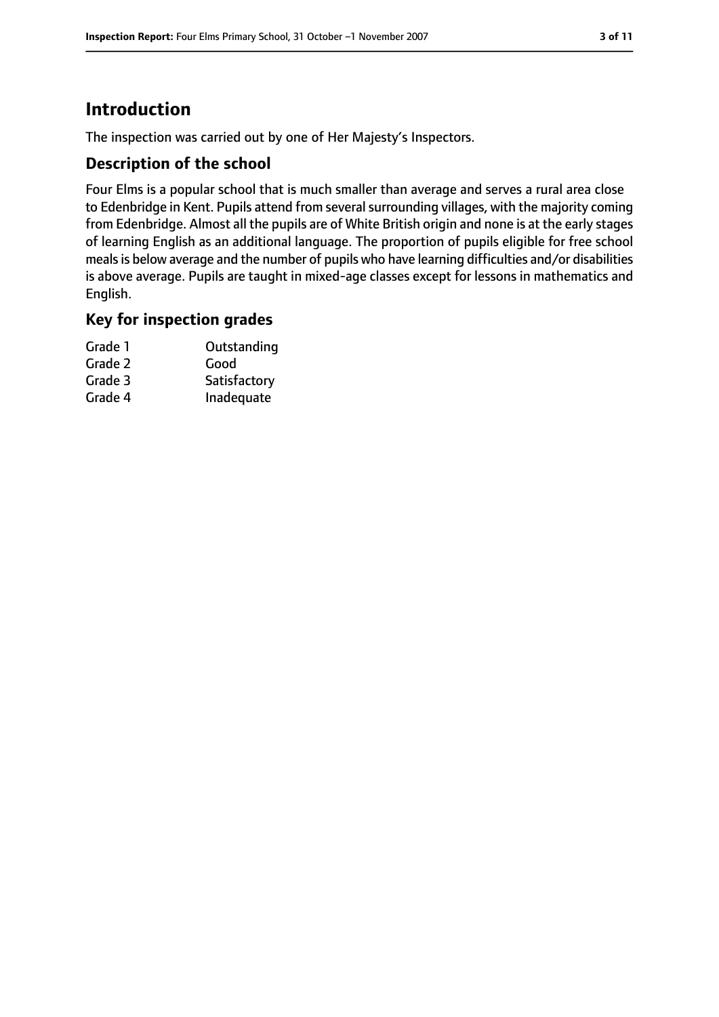# **Introduction**

The inspection was carried out by one of Her Majesty's Inspectors.

#### **Description of the school**

Four Elms is a popular school that is much smaller than average and serves a rural area close to Edenbridge in Kent. Pupils attend from several surrounding villages, with the majority coming from Edenbridge. Almost all the pupils are of White British origin and none is at the early stages of learning English as an additional language. The proportion of pupils eligible for free school meals is below average and the number of pupils who have learning difficulties and/or disabilities is above average. Pupils are taught in mixed-age classes except for lessons in mathematics and English.

## **Key for inspection grades**

| Grade 1 | Outstanding  |
|---------|--------------|
| Grade 2 | Good         |
| Grade 3 | Satisfactory |
| Grade 4 | Inadequate   |
|         |              |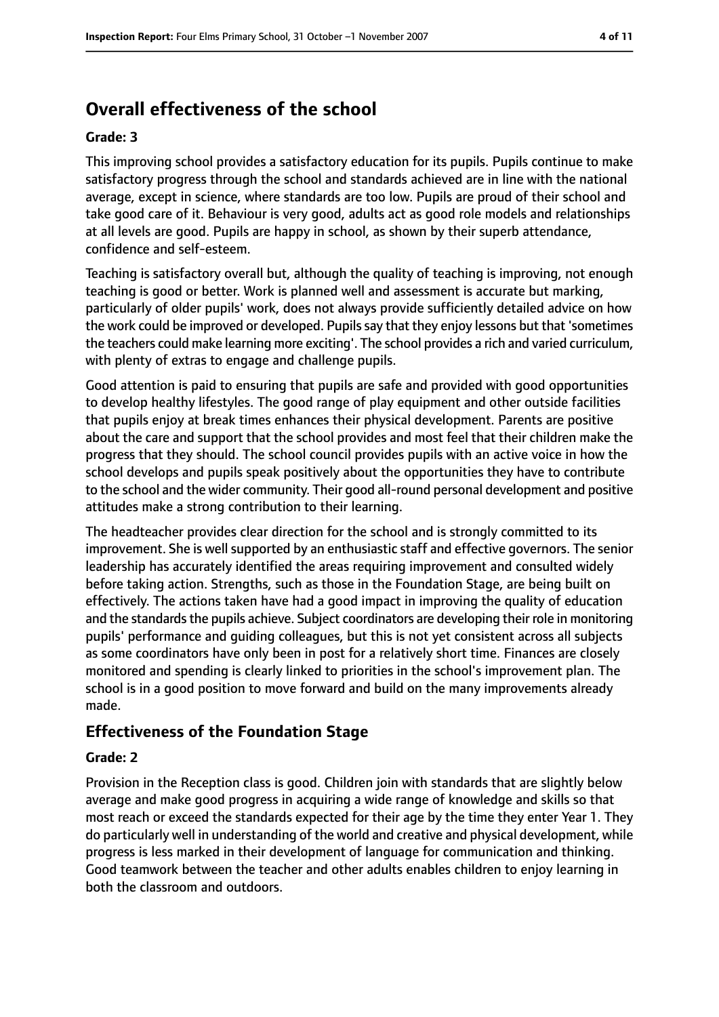# **Overall effectiveness of the school**

#### **Grade: 3**

This improving school provides a satisfactory education for its pupils. Pupils continue to make satisfactory progress through the school and standards achieved are in line with the national average, except in science, where standards are too low. Pupils are proud of their school and take good care of it. Behaviour is very good, adults act as good role models and relationships at all levels are good. Pupils are happy in school, as shown by their superb attendance, confidence and self-esteem.

Teaching is satisfactory overall but, although the quality of teaching is improving, not enough teaching is good or better. Work is planned well and assessment is accurate but marking, particularly of older pupils' work, does not always provide sufficiently detailed advice on how the work could be improved or developed. Pupilssay that they enjoy lessons but that 'sometimes the teachers could make learning more exciting'. The school provides a rich and varied curriculum, with plenty of extras to engage and challenge pupils.

Good attention is paid to ensuring that pupils are safe and provided with good opportunities to develop healthy lifestyles. The good range of play equipment and other outside facilities that pupils enjoy at break times enhances their physical development. Parents are positive about the care and support that the school provides and most feel that their children make the progress that they should. The school council provides pupils with an active voice in how the school develops and pupils speak positively about the opportunities they have to contribute to the school and the wider community. Their good all-round personal development and positive attitudes make a strong contribution to their learning.

The headteacher provides clear direction for the school and is strongly committed to its improvement. She is well supported by an enthusiastic staff and effective governors. The senior leadership has accurately identified the areas requiring improvement and consulted widely before taking action. Strengths, such as those in the Foundation Stage, are being built on effectively. The actions taken have had a good impact in improving the quality of education and the standards the pupils achieve. Subject coordinators are developing their role in monitoring pupils' performance and guiding colleagues, but this is not yet consistent across all subjects as some coordinators have only been in post for a relatively short time. Finances are closely monitored and spending is clearly linked to priorities in the school's improvement plan. The school is in a good position to move forward and build on the many improvements already made.

## **Effectiveness of the Foundation Stage**

#### **Grade: 2**

Provision in the Reception class is good. Children join with standards that are slightly below average and make good progress in acquiring a wide range of knowledge and skills so that most reach or exceed the standards expected for their age by the time they enter Year 1. They do particularly well in understanding of the world and creative and physical development, while progress is less marked in their development of language for communication and thinking. Good teamwork between the teacher and other adults enables children to enjoy learning in both the classroom and outdoors.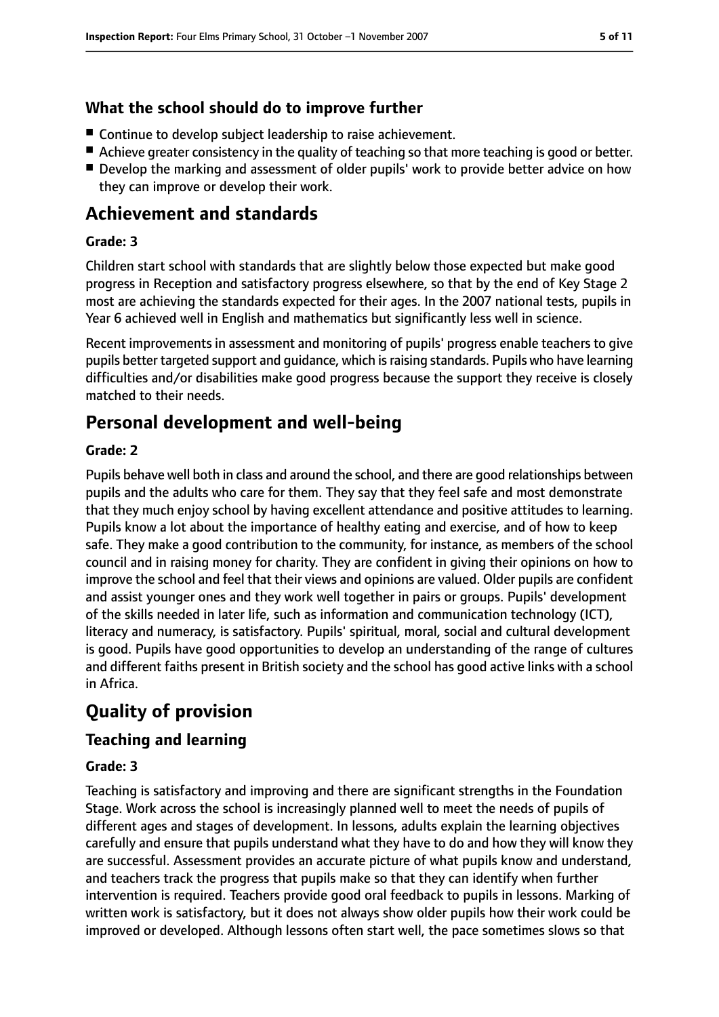## **What the school should do to improve further**

- Continue to develop subject leadership to raise achievement.
- Achieve greater consistency in the quality of teaching so that more teaching is good or better.
- Develop the marking and assessment of older pupils' work to provide better advice on how they can improve or develop their work.

## **Achievement and standards**

#### **Grade: 3**

Children start school with standards that are slightly below those expected but make good progress in Reception and satisfactory progress elsewhere, so that by the end of Key Stage 2 most are achieving the standards expected for their ages. In the 2007 national tests, pupils in Year 6 achieved well in English and mathematics but significantly less well in science.

Recent improvements in assessment and monitoring of pupils' progress enable teachers to give pupils better targeted support and guidance, which is raising standards. Pupils who have learning difficulties and/or disabilities make good progress because the support they receive is closely matched to their needs.

## **Personal development and well-being**

#### **Grade: 2**

Pupils behave well both in class and around the school, and there are good relationships between pupils and the adults who care for them. They say that they feel safe and most demonstrate that they much enjoy school by having excellent attendance and positive attitudes to learning. Pupils know a lot about the importance of healthy eating and exercise, and of how to keep safe. They make a good contribution to the community, for instance, as members of the school council and in raising money for charity. They are confident in giving their opinions on how to improve the school and feel that their views and opinions are valued. Older pupils are confident and assist younger ones and they work well together in pairs or groups. Pupils' development of the skills needed in later life, such as information and communication technology (ICT), literacy and numeracy, is satisfactory. Pupils' spiritual, moral, social and cultural development is good. Pupils have good opportunities to develop an understanding of the range of cultures and different faiths present in British society and the school has good active links with a school in Africa.

# **Quality of provision**

#### **Teaching and learning**

#### **Grade: 3**

Teaching is satisfactory and improving and there are significant strengths in the Foundation Stage. Work across the school is increasingly planned well to meet the needs of pupils of different ages and stages of development. In lessons, adults explain the learning objectives carefully and ensure that pupils understand what they have to do and how they will know they are successful. Assessment provides an accurate picture of what pupils know and understand, and teachers track the progress that pupils make so that they can identify when further intervention is required. Teachers provide good oral feedback to pupils in lessons. Marking of written work is satisfactory, but it does not always show older pupils how their work could be improved or developed. Although lessons often start well, the pace sometimes slows so that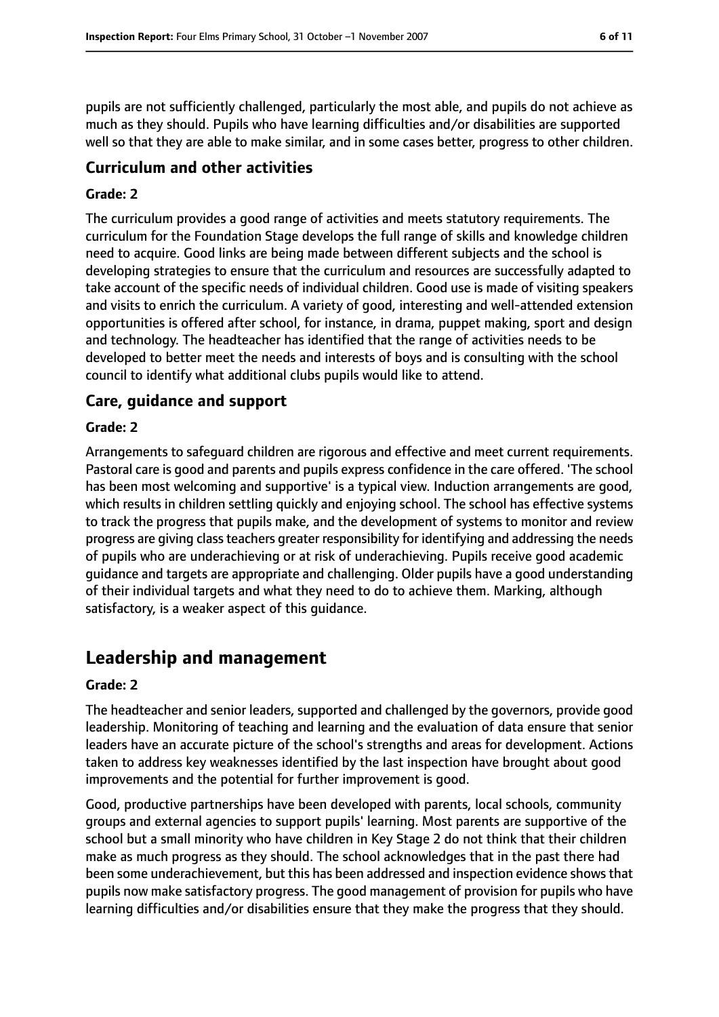pupils are not sufficiently challenged, particularly the most able, and pupils do not achieve as much as they should. Pupils who have learning difficulties and/or disabilities are supported well so that they are able to make similar, and in some cases better, progress to other children.

## **Curriculum and other activities**

#### **Grade: 2**

The curriculum provides a good range of activities and meets statutory requirements. The curriculum for the Foundation Stage develops the full range of skills and knowledge children need to acquire. Good links are being made between different subjects and the school is developing strategies to ensure that the curriculum and resources are successfully adapted to take account of the specific needs of individual children. Good use is made of visiting speakers and visits to enrich the curriculum. A variety of good, interesting and well-attended extension opportunities is offered after school, for instance, in drama, puppet making, sport and design and technology. The headteacher has identified that the range of activities needs to be developed to better meet the needs and interests of boys and is consulting with the school council to identify what additional clubs pupils would like to attend.

#### **Care, guidance and support**

#### **Grade: 2**

Arrangements to safeguard children are rigorous and effective and meet current requirements. Pastoral care is good and parents and pupils express confidence in the care offered. 'The school has been most welcoming and supportive' is a typical view. Induction arrangements are good, which results in children settling quickly and enjoying school. The school has effective systems to track the progress that pupils make, and the development of systems to monitor and review progress are giving class teachers greater responsibility for identifying and addressing the needs of pupils who are underachieving or at risk of underachieving. Pupils receive good academic guidance and targets are appropriate and challenging. Older pupils have a good understanding of their individual targets and what they need to do to achieve them. Marking, although satisfactory, is a weaker aspect of this guidance.

## **Leadership and management**

#### **Grade: 2**

The headteacher and senior leaders, supported and challenged by the governors, provide good leadership. Monitoring of teaching and learning and the evaluation of data ensure that senior leaders have an accurate picture of the school's strengths and areas for development. Actions taken to address key weaknesses identified by the last inspection have brought about good improvements and the potential for further improvement is good.

Good, productive partnerships have been developed with parents, local schools, community groups and external agencies to support pupils' learning. Most parents are supportive of the school but a small minority who have children in Key Stage 2 do not think that their children make as much progress as they should. The school acknowledges that in the past there had been some underachievement, but this has been addressed and inspection evidence shows that pupils now make satisfactory progress. The good management of provision for pupils who have learning difficulties and/or disabilities ensure that they make the progress that they should.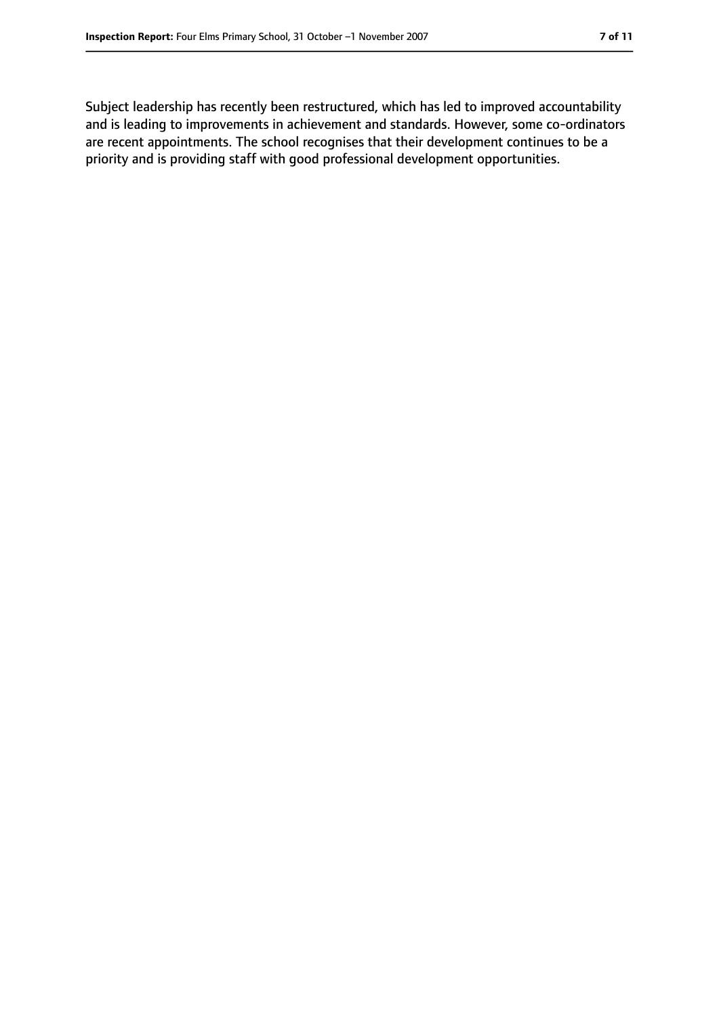Subject leadership has recently been restructured, which has led to improved accountability and is leading to improvements in achievement and standards. However, some co-ordinators are recent appointments. The school recognises that their development continues to be a priority and is providing staff with good professional development opportunities.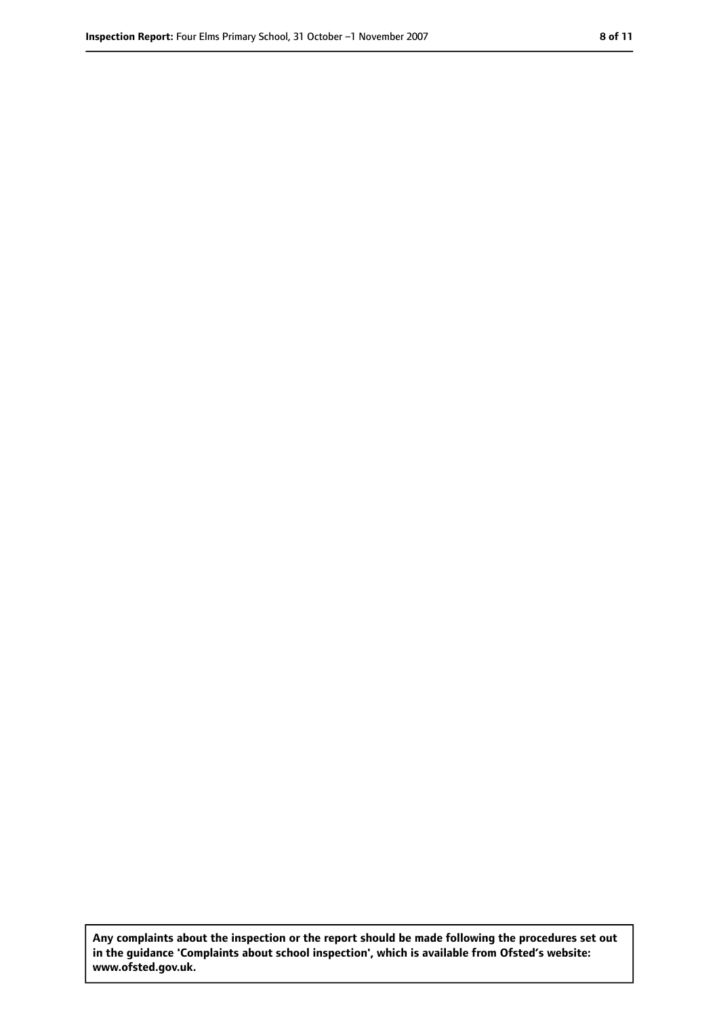**Any complaints about the inspection or the report should be made following the procedures set out in the guidance 'Complaints about school inspection', which is available from Ofsted's website: www.ofsted.gov.uk.**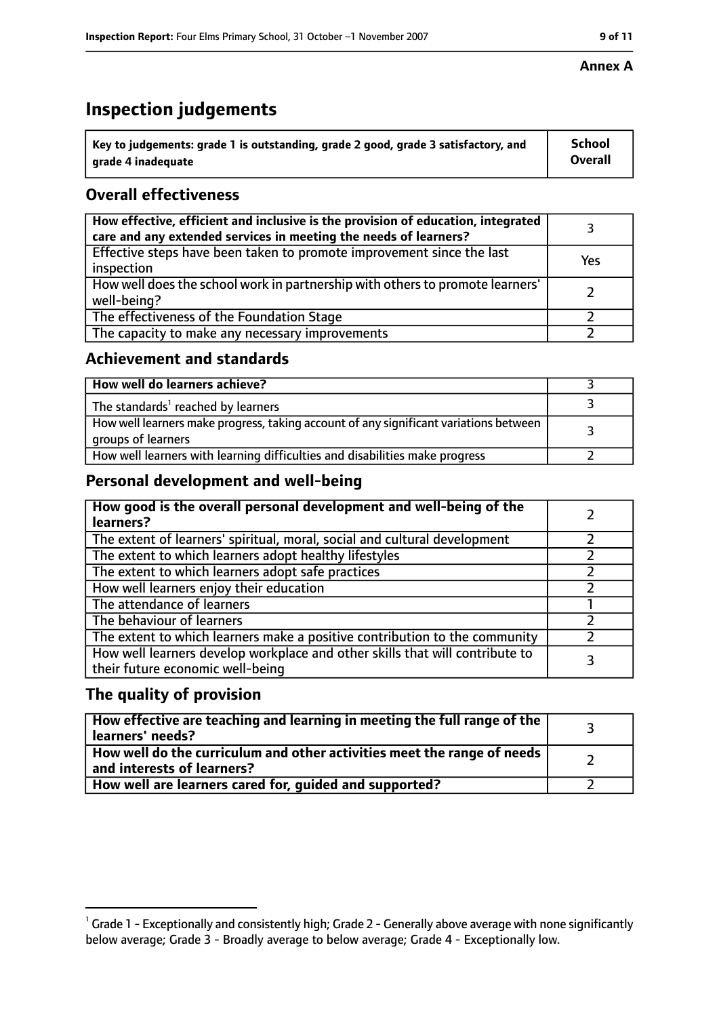# **Inspection judgements**

| $^{\backprime}$ Key to judgements: grade 1 is outstanding, grade 2 good, grade 3 satisfactory, and | <b>School</b>  |
|----------------------------------------------------------------------------------------------------|----------------|
| arade 4 inadeguate                                                                                 | <b>Overall</b> |

## **Overall effectiveness**

| How effective, efficient and inclusive is the provision of education, integrated<br>care and any extended services in meeting the needs of learners? |     |
|------------------------------------------------------------------------------------------------------------------------------------------------------|-----|
| Effective steps have been taken to promote improvement since the last<br>inspection                                                                  | Yes |
| How well does the school work in partnership with others to promote learners'<br>well-being?                                                         |     |
| The effectiveness of the Foundation Stage                                                                                                            |     |
| The capacity to make any necessary improvements                                                                                                      |     |

#### **Achievement and standards**

| How well do learners achieve?                                                                               |  |
|-------------------------------------------------------------------------------------------------------------|--|
| The standards <sup>1</sup> reached by learners                                                              |  |
| How well learners make progress, taking account of any significant variations between<br>groups of learners |  |
| How well learners with learning difficulties and disabilities make progress                                 |  |

## **Personal development and well-being**

| How good is the overall personal development and well-being of the<br>learners?                                  |  |
|------------------------------------------------------------------------------------------------------------------|--|
| The extent of learners' spiritual, moral, social and cultural development                                        |  |
| The extent to which learners adopt healthy lifestyles                                                            |  |
| The extent to which learners adopt safe practices                                                                |  |
| How well learners enjoy their education                                                                          |  |
| The attendance of learners                                                                                       |  |
| The behaviour of learners                                                                                        |  |
| The extent to which learners make a positive contribution to the community                                       |  |
| How well learners develop workplace and other skills that will contribute to<br>their future economic well-being |  |

## **The quality of provision**

| How effective are teaching and learning in meeting the full range of the<br>learners' needs?          |  |
|-------------------------------------------------------------------------------------------------------|--|
| How well do the curriculum and other activities meet the range of needs<br>and interests of learners? |  |
| How well are learners cared for, guided and supported?                                                |  |

 $^1$  Grade 1 - Exceptionally and consistently high; Grade 2 - Generally above average with none significantly below average; Grade 3 - Broadly average to below average; Grade 4 - Exceptionally low.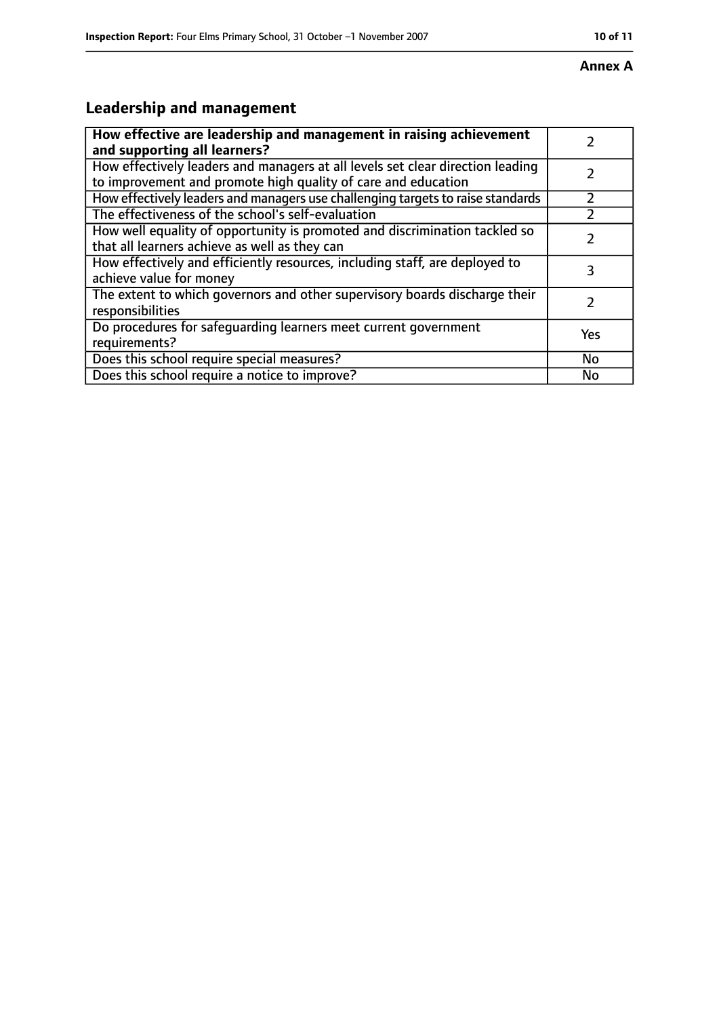#### **Annex A**

# **Leadership and management**

| How effective are leadership and management in raising achievement<br>and supporting all learners?                                              |     |
|-------------------------------------------------------------------------------------------------------------------------------------------------|-----|
| How effectively leaders and managers at all levels set clear direction leading<br>to improvement and promote high quality of care and education |     |
| How effectively leaders and managers use challenging targets to raise standards                                                                 |     |
| The effectiveness of the school's self-evaluation                                                                                               |     |
| How well equality of opportunity is promoted and discrimination tackled so<br>that all learners achieve as well as they can                     |     |
| How effectively and efficiently resources, including staff, are deployed to<br>achieve value for money                                          | 3   |
| The extent to which governors and other supervisory boards discharge their<br>responsibilities                                                  | 7   |
| Do procedures for safequarding learners meet current government<br>requirements?                                                                | Yes |
| Does this school require special measures?                                                                                                      | No  |
| Does this school require a notice to improve?                                                                                                   | No  |